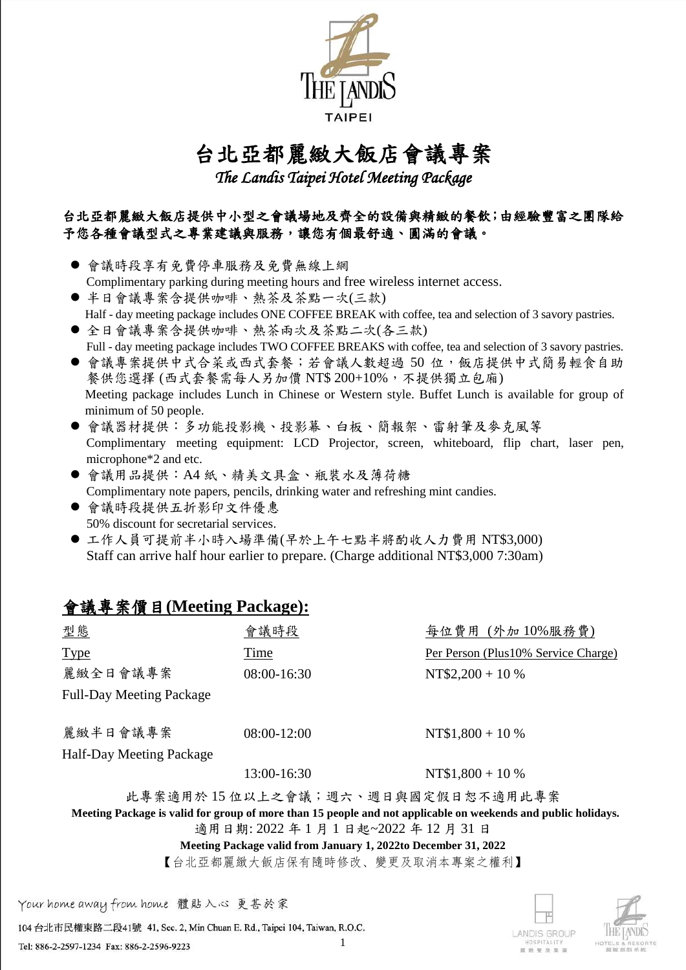

### 台北亞都麗緻大飯店會議專案

*The Landis Taipei Hotel Meeting Package* 

#### 台北亞都麗緻大飯店提供中小型之會議場地及齊全的設備與精緻的餐飲;由經驗豐富之團隊給 予您各種會議型式之專業建議與服務,讓您有個最舒適、圓滿的會議。

- 會議時段享有免費停車服務及免費無線上網 Complimentary parking during meeting hours and free wireless internet access.
- 半日會議專案含提供咖啡、熱茶及茶點一次(三款) Half - day meeting package includes ONE COFFEE BREAK with coffee, tea and selection of 3 savory pastries.
- 全日會議專案含提供咖啡、熱茶兩次及茶點二次(各三款) Full - day meeting package includes TWO COFFEE BREAKS with coffee, tea and selection of 3 savory pastries.
- 會議專案提供中式合菜或西式套餐;若會議人數超過 50 位,飯店提供中式簡易輕食自助 餐供您選擇 (西式套餐需每人另加價 NT\$ 200+10%,不提供獨立包廂) Meeting package includes Lunch in Chinese or Western style. Buffet Lunch is available for group of minimum of 50 people.
- 會議器材提供:多功能投影機、投影幕、白板、簡報架、雷射筆及麥克風等 Complimentary meeting equipment: LCD Projector, screen, whiteboard, flip chart, laser pen, microphone\*2 and etc.
- 會議用品提供: A4 紙、精美文具盒、瓶裝水及薄荷糖 Complimentary note papers, pencils, drinking water and refreshing mint candies.
- 會議時段提供五折影印文件優惠 50% discount for secretarial services.
- 工作人員可提前半小時入場準備(早於上午七點半將酌收人力費用 NT\$3,000) Staff can arrive half hour earlier to prepare. (Charge additional NT\$3,000 7:30am)

#### 會議專案價目**(Meeting Package):**

| 型態                                                                                                            | 會議時段          | 每位費用 (外加10%服務費)                     |  |  |  |  |
|---------------------------------------------------------------------------------------------------------------|---------------|-------------------------------------|--|--|--|--|
| <b>Type</b>                                                                                                   | Time          | Per Person (Plus10% Service Charge) |  |  |  |  |
| 麗緻全日會議專案                                                                                                      | $08:00-16:30$ | NT\$2,200 + 10 %                    |  |  |  |  |
| <b>Full-Day Meeting Package</b>                                                                               |               |                                     |  |  |  |  |
|                                                                                                               |               |                                     |  |  |  |  |
| 麗緻半日會議專案                                                                                                      | $08:00-12:00$ | NT\$1,800 + 10 %                    |  |  |  |  |
| <b>Half-Day Meeting Package</b>                                                                               |               |                                     |  |  |  |  |
| NT\$1,800 + 10 %<br>$13:00 - 16:30$                                                                           |               |                                     |  |  |  |  |
| 此專案適用於15位以上之會議;週六、週日與國定假日恕不適用此專案                                                                              |               |                                     |  |  |  |  |
| Meeting Package is valid for group of more than 15 people and not applicable on weekends and public holidays. |               |                                     |  |  |  |  |
| 適用日期: 2022 年1月1日起~2022 年12月31日                                                                                |               |                                     |  |  |  |  |
| Meeting Package valid from January 1, 2022to December 31, 2022                                                |               |                                     |  |  |  |  |

【台北亞都麗緻大飯店保有隨時修改、變更及取消本專案之權利】

Your home away from home 體貼入心 更甚於家

104 台北市民權東路二段41號 41, Sec. 2, Min Chuan E. Rd., Taipei 104, Taiwan, R.O.C.

Tel: 886-2-2597-1234 Fax: 886-2-2596-9223



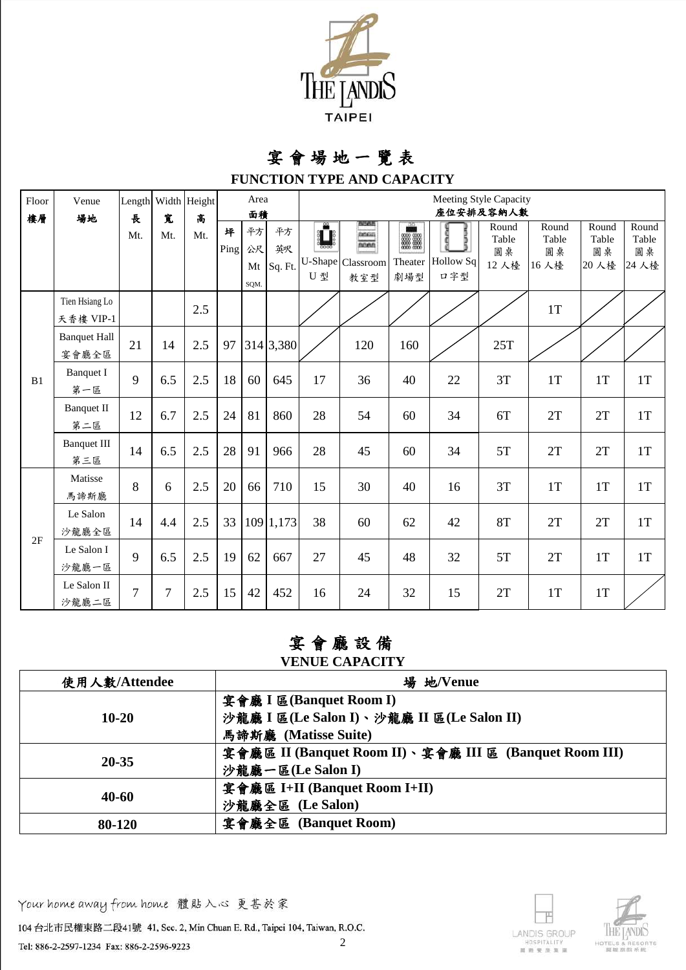

## 宴 會 場 地 一 覽 表

**FUNCTION TYPE AND CAPACITY**

| Floor | Venue                        |     |        | Length Width Height | Area      |                  |                        | Meeting Style Capacity |                                                                      |                                         |                            |                               |                              |                               |                               |
|-------|------------------------------|-----|--------|---------------------|-----------|------------------|------------------------|------------------------|----------------------------------------------------------------------|-----------------------------------------|----------------------------|-------------------------------|------------------------------|-------------------------------|-------------------------------|
| 樓層    | 場地                           | 長   | 寬      | 高                   |           | 面積               |                        | 座位安排及容納人數              |                                                                      |                                         |                            |                               |                              |                               |                               |
|       |                              | Mt. | Mt.    | Mt.                 | 坪<br>Ping | 平方<br>公尺<br>SQM. | 平方<br>英呎<br>Mt Sq. Ft. | U-Shape<br>U 型         | <b>BULGE</b><br><b>BRGIS</b><br>R <sub>max</sub><br>Classroom<br>教室型 | $\frac{50}{20}$<br>靈靈<br>Theater<br>劇場型 | g<br>Ď<br>Hollow Sq<br>口字型 | Round<br>Table<br>圓桌<br>12 人檯 | Round<br>Table<br>圓桌<br>16人檯 | Round<br>Table<br>圓桌<br>20 人檯 | Round<br>Table<br>圓桌<br>24 人檯 |
|       | Tien Hsiang Lo<br>天香樓 VIP-1  |     |        | 2.5                 |           |                  |                        |                        |                                                                      |                                         |                            |                               | $1\mathrm{T}$                |                               |                               |
|       | <b>Banquet Hall</b><br>宴會廳全區 | 21  | 14     | 2.5                 | 97        |                  | 314 3,380              |                        | 120                                                                  | 160                                     |                            | 25T                           |                              |                               |                               |
| B1    | <b>Banquet I</b><br>第一區      | 9   | 6.5    | 2.5                 | 18        | 60               | 645                    | 17                     | 36                                                                   | 40                                      | 22                         | $3T$                          | $1\mathrm{T}$                | 1T                            | 1T                            |
|       | <b>Banquet II</b><br>第二區     | 12  | 6.7    | 2.5                 | 24        | 81               | 860                    | 28                     | 54                                                                   | 60                                      | 34                         | 6T                            | 2T                           | 2T                            | 1T                            |
|       | <b>Banquet III</b><br>第三區    | 14  | 6.5    | 2.5                 | 28        | 91               | 966                    | 28                     | 45                                                                   | 60                                      | 34                         | 5T                            | 2T                           | 2T                            | 1T                            |
|       | Matisse<br>馬諦斯廳              | 8   | 6      | 2.5                 | 20        | 66               | 710                    | 15                     | 30                                                                   | 40                                      | 16                         | $3T$                          | $1\mathrm{T}$                | $1\mathrm{T}$                 | 1T                            |
|       | Le Salon<br>沙龍廳全區            | 14  | 4.4    | 2.5                 | 33        |                  | 109 1,173              | 38                     | 60                                                                   | 62                                      | 42                         | <b>8T</b>                     | $2\mathrm{T}$                | 2T                            | 1T                            |
| 2F    | Le Salon I<br>沙龍廳一區          | 9   | 6.5    | 2.5                 | 19        | 62               | 667                    | 27                     | 45                                                                   | 48                                      | 32                         | $5\mathrm{T}$                 | 2T                           | 1T                            | 1T                            |
|       | Le Salon II<br>沙龍廳二區         | 7   | $\tau$ | 2.5                 | 15        | 42               | 452                    | 16                     | 24                                                                   | 32                                      | 15                         | 2T                            | 1T                           | $1\mathrm{T}$                 |                               |

#### 宴 會 廳 設 備

#### **VENUE CAPACITY**

| 使用人數/Attendee | 場 地/Venue                                              |  |  |  |  |  |
|---------------|--------------------------------------------------------|--|--|--|--|--|
|               | 宴會廳 I 區(Banquet Room I)                                |  |  |  |  |  |
| $10-20$       | 沙龍廳 I 區(Le Salon I)、沙龍廳 II 區(Le Salon II)              |  |  |  |  |  |
|               | 馬諦斯廳 (Matisse Suite)                                   |  |  |  |  |  |
|               | 宴會廳區 II (Banquet Room II)、宴會廳 III 區 (Banquet Room III) |  |  |  |  |  |
| 20-35         | 沙龍廳一區(Le Salon I)                                      |  |  |  |  |  |
|               | 宴會廳區 I+II (Banquet Room I+II)                          |  |  |  |  |  |
| $40 - 60$     | 沙龍廳全區 (Le Salon)                                       |  |  |  |  |  |
| 80-120        | 宴會廳全區 (Banquet Room)                                   |  |  |  |  |  |

Your home away from home 體貼入心 更甚於家

104 台北市民權東路二段41號 41, Sec. 2, Min Chuan E. Rd., Taipei 104, Taiwan, R.O.C.



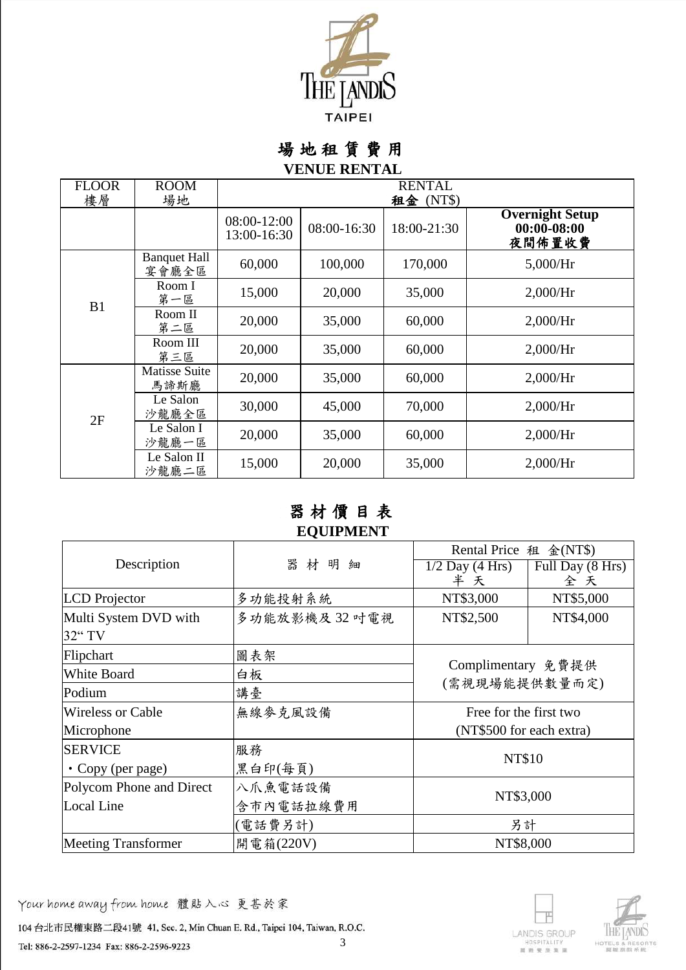

場 地 租 賃 費 用

#### **VENUE RENTAL**

| <b>FLOOR</b> | <b>ROOM</b>                  | <b>RENTAL</b>              |             |                          |                                           |  |  |  |
|--------------|------------------------------|----------------------------|-------------|--------------------------|-------------------------------------------|--|--|--|
| 樓層           | 場地                           | 08:00-12:00<br>13:00-16:30 | 08:00-16:30 | 租金 (NT\$)<br>18:00-21:30 | <b>Overnight Setup</b><br>$00:00 - 08:00$ |  |  |  |
|              | <b>Banquet Hall</b><br>宴會廳全區 | 60,000                     | 100,000     | 170,000                  | 夜間佈置收費<br>5,000/Hr                        |  |  |  |
| B1           | Room I<br>第一區                | 15,000                     | 20,000      | 35,000                   | 2,000/Hr                                  |  |  |  |
|              | Room II<br>第二區               | 20,000                     | 35,000      | 60,000                   | 2,000/Hr                                  |  |  |  |
|              | Room III<br>第三區              | 20,000                     | 35,000      | 60,000                   | 2,000/Hr                                  |  |  |  |
|              | Matisse Suite<br>馬諦斯廳        | 20,000                     | 35,000      | 60,000                   | 2,000/Hr                                  |  |  |  |
| 2F           | Le Salon<br>沙龍廳全區            | 30,000                     | 45,000      | 70,000                   | 2,000/Hr                                  |  |  |  |
|              | Le Salon I<br>沙龍廳一區          | 20,000                     | 35,000      | 60,000                   | 2,000/Hr                                  |  |  |  |
|              | Le Salon II<br>沙龍廳二區         | 15,000                     | 20,000      | 35,000                   | 2,000/Hr                                  |  |  |  |

#### 器 材 價 目 表 **EQUIPMENT**

|                            |               | Rental Price 租 金(NT\$)              |                  |  |
|----------------------------|---------------|-------------------------------------|------------------|--|
| Description                | 器材<br>明細      | $1/2$ Day (4 Hrs)                   | Full Day (8 Hrs) |  |
|                            |               | 半 天                                 | 全天               |  |
| <b>LCD</b> Projector       | 多功能投射系統       | NT\$3,000                           | NT\$5,000        |  |
| Multi System DVD with      | 多功能放影機及32 叶電視 | NT\$2,500                           | NT\$4,000        |  |
| 32" TV                     |               |                                     |                  |  |
| Flipchart                  | 圖表架           |                                     |                  |  |
| <b>White Board</b>         | 白板            | Complimentary 免費提供<br>(需視現場能提供數量而定) |                  |  |
| Podium                     | 講臺            |                                     |                  |  |
| <b>Wireless or Cable</b>   | 無線麥克風設備       | Free for the first two              |                  |  |
| Microphone                 |               | (NT\$500 for each extra)            |                  |  |
| <b>SERVICE</b>             | 服務            |                                     |                  |  |
| • Copy (per page)          | 黑白印(每頁)       | <b>NT\$10</b>                       |                  |  |
| Polycom Phone and Direct   | 八爪魚電話設備       | NT\$3,000                           |                  |  |
| <b>Local Line</b>          | 含市內電話拉線費用     |                                     |                  |  |
|                            | (電話費另計)       | 另計                                  |                  |  |
| <b>Meeting Transformer</b> | 開電箱(220V)     | NT\$8,000                           |                  |  |

Your home away from home 體貼入心 更甚於家

104 台北市民權東路二段41號 41, Sec. 2, Min Chuan E. Rd., Taipei 104, Taiwan, R.O.C. 3



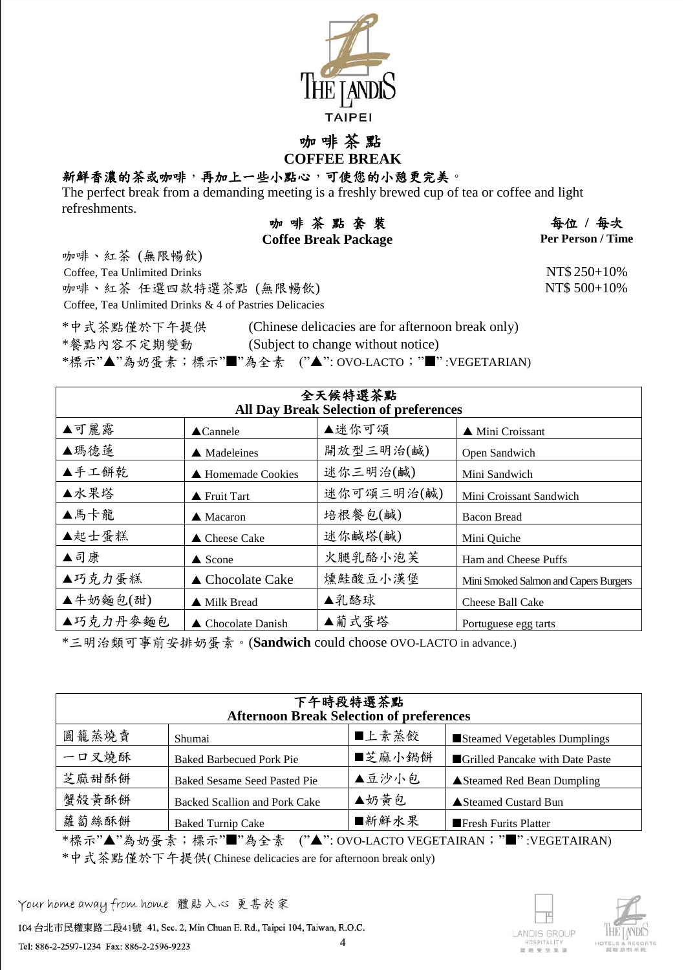

#### 咖 啡 茶 點 **COFFEE BREAK**

#### 新鮮香濃的茶或咖啡,再加上一些小點心,可使您的小憩更完美。

The perfect break from a demanding meeting is a freshly brewed cup of tea or coffee and light refreshments.

| 咖啡茶點套裝                      | 每位 / 每次                  |
|-----------------------------|--------------------------|
| <b>Coffee Break Package</b> | <b>Per Person / Time</b> |

 $每位 / 每次$ 

NT\$ 500+10%

咖啡、紅茶 (無限暢飲) Coffee, Tea Unlimited Drinks NT\$ 250+10% 咖啡、紅茶 任選四款特選茶點 (無限暢飲) Coffee, Tea Unlimited Drinks & 4 of Pastries Delicacies

\*中式茶點僅於下午提供 (Chinese delicacies are for afternoon break only) \*餐點內容不定期變動 (Subject to change without notice) \*標示"▲"為奶蛋素;標示"■"為全素 ("▲": OVO-LACTO;"■":VEGETARIAN)

| 全天候特選茶點<br><b>All Day Break Selection of preferences</b> |                            |            |                                       |  |  |  |  |
|----------------------------------------------------------|----------------------------|------------|---------------------------------------|--|--|--|--|
| ▲可麗露                                                     | $\triangle$ Cannele        | ▲迷你可頌      | ▲ Mini Croissant                      |  |  |  |  |
| ▲瑪德蓮                                                     | $\triangle$ Madeleines     | 開放型三明治(鹹)  | Open Sandwich                         |  |  |  |  |
| ▲手工餅乾                                                    | ▲ Homemade Cookies         | 迷你三明治(鹹)   | Mini Sandwich                         |  |  |  |  |
| ▲水果塔                                                     | ▲ Fruit Tart               | 迷你可頌三明治(鹹) | Mini Croissant Sandwich               |  |  |  |  |
| ▲馬卡龍                                                     | $\triangle$ Macaron        | 培根餐包(鹹)    | <b>Bacon Bread</b>                    |  |  |  |  |
| ▲起士蛋糕                                                    | $\triangle$ Cheese Cake    | 迷你鹹塔(鹹)    | Mini Quiche                           |  |  |  |  |
| ▲司康                                                      | $\triangle$ Scone          | 火腿乳酪小泡芙    | Ham and Cheese Puffs                  |  |  |  |  |
| ▲巧克力蛋糕                                                   | $\triangle$ Chocolate Cake | 燻鮭酸豆小漢堡    | Mini Smoked Salmon and Capers Burgers |  |  |  |  |
| ▲牛奶麵包(甜)                                                 | ▲ Milk Bread               | ▲乳酪球       | Cheese Ball Cake                      |  |  |  |  |
| ▲巧克力丹麥麵包                                                 | Chocolate Danish           | ▲葡式蛋塔      | Portuguese egg tarts                  |  |  |  |  |

\*三明治類可事前安排奶蛋素。(**Sandwich** could choose OVO-LACTO in advance.)

| 下午時段特選茶點<br><b>Afternoon Break Selection of preferences</b> |                                      |        |                                   |  |  |  |  |
|-------------------------------------------------------------|--------------------------------------|--------|-----------------------------------|--|--|--|--|
| 圓籠蒸燒賣                                                       | Shumai                               | ■上素蒸餃  | Steamed Vegetables Dumplings      |  |  |  |  |
| 一口叉燒酥                                                       | <b>Baked Barbecued Pork Pie</b>      | ■芝麻小鍋餅 | Grilled Pancake with Date Paste   |  |  |  |  |
| 芝麻甜酥餅                                                       | Baked Sesame Seed Pasted Pie         | ▲豆沙小包  | <b>▲Steamed Red Bean Dumpling</b> |  |  |  |  |
| 蟹殻黄酥餅                                                       | <b>Backed Scallion and Pork Cake</b> | ▲奶黄包   | ▲ Steamed Custard Bun             |  |  |  |  |
| 蘿蔔絲酥餅                                                       | <b>Baked Turnip Cake</b>             | ■新鮮水果  | <b>Fresh Furits Platter</b>       |  |  |  |  |

\*標示"▲"為奶蛋素;標示"■"為全素 ("▲": OVO-LACTO VEGETAIRAN; "■":VEGETAIRAN) \*中式茶點僅於下午提供( Chinese delicacies are for afternoon break only)

Your home away from home 體貼入心 更甚於家

104 台北市民權東路二段41號 41, Sec. 2, Min Chuan E. Rd., Taipei 104, Taiwan, R.O.C.



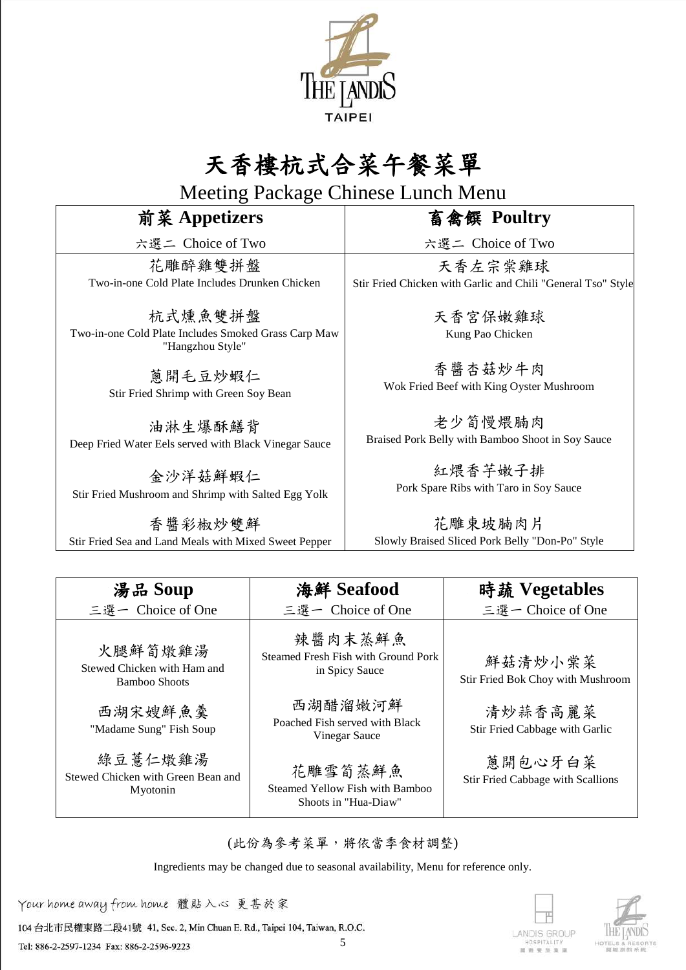

# 天香樓杭式合菜午餐菜單

Meeting Package Chinese Lunch Menu

### 前菜 **Appetizers**

六選二 Choice of Two

花雕醉雞雙拼盤 Two-in-one Cold Plate Includes Drunken Chicken

杭式燻魚雙拼盤 Two-in-one Cold Plate Includes Smoked Grass Carp Maw "Hangzhou Style"

> 蔥開毛豆炒蝦仁 Stir Fried Shrimp with Green Soy Bean

油淋生爆酥鱔背 Deep Fried Water Eels served with Black Vinegar Sauce

金沙洋菇鮮蝦仁 Stir Fried Mushroom and Shrimp with Salted Egg Yolk

香醬彩椒炒雙鮮 Stir Fried Sea and Land Meals with Mixed Sweet Pepper 畜禽饌 **Poultry**

六選二 Choice of Two

天香左宗棠雞球 Stir Fried Chicken with Garlic and Chili "General Tso" Style

> 天香宮保嫩雞球 Kung Pao Chicken

香醬杏菇炒牛肉 Wok Fried Beef with King Oyster Mushroom

老少筍慢煨腩肉 Braised Pork Belly with Bamboo Shoot in Soy Sauce

> 紅煨香芋嫩子排 Pork Spare Ribs with Taro in Soy Sauce

花雕東坡腩肉片 Slowly Braised Sliced Pork Belly "Don-Po" Style

| 湯品 Soup                                                   | 海鮮 Seafood                                                         | 時蔬 Vegetables                                |
|-----------------------------------------------------------|--------------------------------------------------------------------|----------------------------------------------|
| 三選一 Choice of One                                         | 三選一 Choice of One                                                  | 三選一 Choice of One                            |
| 火腿鮮筍燉雞湯<br>Stewed Chicken with Ham and<br>Bamboo Shoots   | 辣醬肉末蒸鮮魚<br>Steamed Fresh Fish with Ground Pork<br>in Spicy Sauce   | 鮮菇清炒小棠菜<br>Stir Fried Bok Choy with Mushroom |
| 西湖宋嫂鮮魚羹<br>"Madame Sung" Fish Soup                        | 西湖醋溜嫩河鮮<br>Poached Fish served with Black<br>Vinegar Sauce         | 清炒蒜香高麗菜<br>Stir Fried Cabbage with Garlic    |
| 綠豆薏仁燉雞湯<br>Stewed Chicken with Green Bean and<br>Myotonin | 花雕雪筍蒸鮮魚<br>Steamed Yellow Fish with Bamboo<br>Shoots in "Hua-Diaw" | 蒽開包心牙白菜<br>Stir Fried Cabbage with Scallions |

(此份為參考菜單,將依當季食材調整)

Ingredients may be changed due to seasonal availability, Menu for reference only.

Your home away from home 體貼入心 更甚於家

104 台北市民權東路二段41號 41, Sec. 2, Min Chuan E. Rd., Taipei 104, Taiwan, R.O.C.

Tel: 886-2-2597-1234 Fax: 886-2-2596-9223